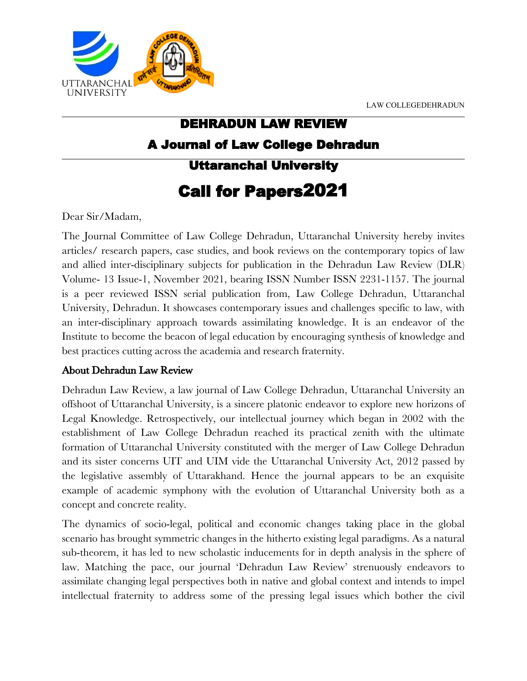LAW COLLEGEDEHRADUN



## DEHRADUN LAW REVIEW A Journal of Law College Dehradun Uttaranchal University Call for Papers2021

Dear Sir/Madam,

The Journal Committee of Law College Dehradun, Uttaranchal University hereby invites articles/ research papers, case studies, and book reviews on the contemporary topics of law and allied inter-disciplinary subjects for publication in the Dehradun Law Review (DLR) Volume- 13 Issue-1, November 2021, bearing ISSN Number ISSN 2231-1157. The journal is a peer reviewed ISSN serial publication from, Law College Dehradun, Uttaranchal University, Dehradun. It showcases contemporary issues and challenges specific to law, with an inter-disciplinary approach towards assimilating knowledge. It is an endeavor of the Institute to become the beacon of legal education by encouraging synthesis of knowledge and best practices cutting across the academia and research fraternity.

## About Dehradun Law Review

Dehradun Law Review, a law journal of Law College Dehradun, Uttaranchal University an offshoot of Uttaranchal University, is a sincere platonic endeavor to explore new horizons of Legal Knowledge. Retrospectively, our intellectual journey which began in 2002 with the establishment of Law College Dehradun reached its practical zenith with the ultimate formation of Uttaranchal University constituted with the merger of Law College Dehradun and its sister concerns UIT and UIM vide the Uttaranchal University Act, 2012 passed by the legislative assembly of Uttarakhand. Hence the journal appears to be an exquisite example of academic symphony with the evolution of Uttaranchal University both as a concept and concrete reality.

The dynamics of socio-legal, political and economic changes taking place in the global scenario has brought symmetric changes in the hitherto existing legal paradigms. As a natural sub-theorem, it has led to new scholastic inducements for in depth analysis in the sphere of law. Matching the pace, our journal 'Dehradun Law Review' strenuously endeavors to assimilate changing legal perspectives both in native and global context and intends to impel intellectual fraternity to address some of the pressing legal issues which bother the civil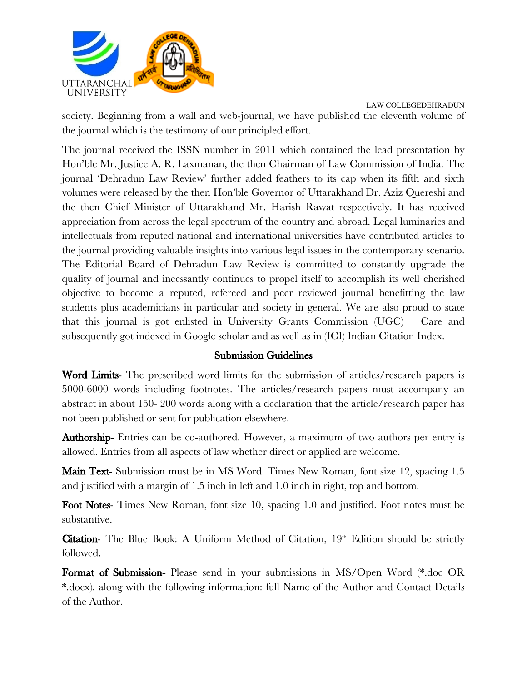

LAW COLLEGEDEHRADUN society. Beginning from a wall and web-journal, we have published the eleventh volume of the journal which is the testimony of our principled effort.

The journal received the ISSN number in 2011 which contained the lead presentation by Hon'ble Mr. Justice A. R. Laxmanan, the then Chairman of Law Commission of India. The journal 'Dehradun Law Review' further added feathers to its cap when its fifth and sixth volumes were released by the then Hon'ble Governor of Uttarakhand Dr. Aziz Quereshi and the then Chief Minister of Uttarakhand Mr. Harish Rawat respectively. It has received appreciation from across the legal spectrum of the country and abroad. Legal luminaries and intellectuals from reputed national and international universities have contributed articles to the journal providing valuable insights into various legal issues in the contemporary scenario. The Editorial Board of Dehradun Law Review is committed to constantly upgrade the quality of journal and incessantly continues to propel itself to accomplish its well cherished objective to become a reputed, refereed and peer reviewed journal benefitting the law students plus academicians in particular and society in general. We are also proud to state that this journal is got enlisted in University Grants Commission (UGC) – Care and subsequently got indexed in Google scholar and as well as in (ICI) Indian Citation Index.

## Submission Guidelines

Word Limits- The prescribed word limits for the submission of articles/research papers is 5000-6000 words including footnotes. The articles/research papers must accompany an abstract in about 150- 200 words along with a declaration that the article/research paper has not been published or sent for publication elsewhere.

Authorship- Entries can be co-authored. However, a maximum of two authors per entry is allowed. Entries from all aspects of law whether direct or applied are welcome.

**Main Text**- Submission must be in MS Word. Times New Roman, font size 12, spacing 1.5 and justified with a margin of 1.5 inch in left and 1.0 inch in right, top and bottom.

Foot Notes- Times New Roman, font size 10, spacing 1.0 and justified. Foot notes must be substantive.

**Citation-** The Blue Book: A Uniform Method of Citation,  $19<sup>th</sup>$  Edition should be strictly followed.

Format of Submission- Please send in your submissions in MS/Open Word (\*.doc OR \*.docx), along with the following information: full Name of the Author and Contact Details of the Author.